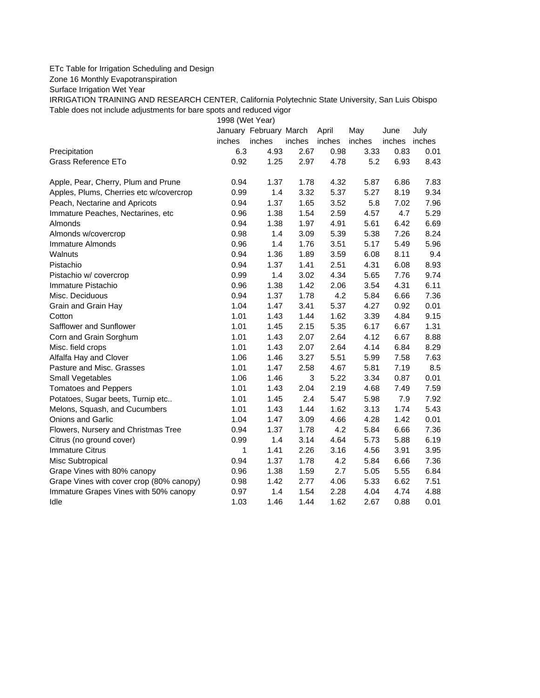## ETc Table for Irrigation Scheduling and Design

Zone 16 Monthly Evapotranspiration

Surface Irrigation Wet Year

IRRIGATION TRAINING AND RESEARCH CENTER, California Polytechnic State University, San Luis Obispo Table does not include adjustments for bare spots and reduced vigor

1998 (Wet Year)

|                                          |        | January February March |        | April  | May    | June   | July   |
|------------------------------------------|--------|------------------------|--------|--------|--------|--------|--------|
|                                          | inches | inches                 | inches | inches | inches | inches | inches |
| Precipitation                            | 6.3    | 4.93                   | 2.67   | 0.98   | 3.33   | 0.83   | 0.01   |
| Grass Reference ETo                      | 0.92   | 1.25                   | 2.97   | 4.78   | 5.2    | 6.93   | 8.43   |
| Apple, Pear, Cherry, Plum and Prune      | 0.94   | 1.37                   | 1.78   | 4.32   | 5.87   | 6.86   | 7.83   |
| Apples, Plums, Cherries etc w/covercrop  | 0.99   | 1.4                    | 3.32   | 5.37   | 5.27   | 8.19   | 9.34   |
| Peach, Nectarine and Apricots            | 0.94   | 1.37                   | 1.65   | 3.52   | 5.8    | 7.02   | 7.96   |
| Immature Peaches, Nectarines, etc        | 0.96   | 1.38                   | 1.54   | 2.59   | 4.57   | 4.7    | 5.29   |
| Almonds                                  | 0.94   | 1.38                   | 1.97   | 4.91   | 5.61   | 6.42   | 6.69   |
| Almonds w/covercrop                      | 0.98   | 1.4                    | 3.09   | 5.39   | 5.38   | 7.26   | 8.24   |
| Immature Almonds                         | 0.96   | 1.4                    | 1.76   | 3.51   | 5.17   | 5.49   | 5.96   |
| Walnuts                                  | 0.94   | 1.36                   | 1.89   | 3.59   | 6.08   | 8.11   | 9.4    |
| Pistachio                                | 0.94   | 1.37                   | 1.41   | 2.51   | 4.31   | 6.08   | 8.93   |
| Pistachio w/ covercrop                   | 0.99   | 1.4                    | 3.02   | 4.34   | 5.65   | 7.76   | 9.74   |
| Immature Pistachio                       | 0.96   | 1.38                   | 1.42   | 2.06   | 3.54   | 4.31   | 6.11   |
| Misc. Deciduous                          | 0.94   | 1.37                   | 1.78   | 4.2    | 5.84   | 6.66   | 7.36   |
| Grain and Grain Hay                      | 1.04   | 1.47                   | 3.41   | 5.37   | 4.27   | 0.92   | 0.01   |
| Cotton                                   | 1.01   | 1.43                   | 1.44   | 1.62   | 3.39   | 4.84   | 9.15   |
| Safflower and Sunflower                  | 1.01   | 1.45                   | 2.15   | 5.35   | 6.17   | 6.67   | 1.31   |
| Corn and Grain Sorghum                   | 1.01   | 1.43                   | 2.07   | 2.64   | 4.12   | 6.67   | 8.88   |
| Misc. field crops                        | 1.01   | 1.43                   | 2.07   | 2.64   | 4.14   | 6.84   | 8.29   |
| Alfalfa Hay and Clover                   | 1.06   | 1.46                   | 3.27   | 5.51   | 5.99   | 7.58   | 7.63   |
| Pasture and Misc. Grasses                | 1.01   | 1.47                   | 2.58   | 4.67   | 5.81   | 7.19   | 8.5    |
| Small Vegetables                         | 1.06   | 1.46                   | 3      | 5.22   | 3.34   | 0.87   | 0.01   |
| <b>Tomatoes and Peppers</b>              | 1.01   | 1.43                   | 2.04   | 2.19   | 4.68   | 7.49   | 7.59   |
| Potatoes, Sugar beets, Turnip etc        | 1.01   | 1.45                   | 2.4    | 5.47   | 5.98   | 7.9    | 7.92   |
| Melons, Squash, and Cucumbers            | 1.01   | 1.43                   | 1.44   | 1.62   | 3.13   | 1.74   | 5.43   |
| <b>Onions and Garlic</b>                 | 1.04   | 1.47                   | 3.09   | 4.66   | 4.28   | 1.42   | 0.01   |
| Flowers, Nursery and Christmas Tree      | 0.94   | 1.37                   | 1.78   | 4.2    | 5.84   | 6.66   | 7.36   |
| Citrus (no ground cover)                 | 0.99   | 1.4                    | 3.14   | 4.64   | 5.73   | 5.88   | 6.19   |
| <b>Immature Citrus</b>                   | 1      | 1.41                   | 2.26   | 3.16   | 4.56   | 3.91   | 3.95   |
| Misc Subtropical                         | 0.94   | 1.37                   | 1.78   | 4.2    | 5.84   | 6.66   | 7.36   |
| Grape Vines with 80% canopy              | 0.96   | 1.38                   | 1.59   | 2.7    | 5.05   | 5.55   | 6.84   |
| Grape Vines with cover crop (80% canopy) | 0.98   | 1.42                   | 2.77   | 4.06   | 5.33   | 6.62   | 7.51   |
| Immature Grapes Vines with 50% canopy    | 0.97   | 1.4                    | 1.54   | 2.28   | 4.04   | 4.74   | 4.88   |
| Idle                                     | 1.03   | 1.46                   | 1.44   | 1.62   | 2.67   | 0.88   | 0.01   |